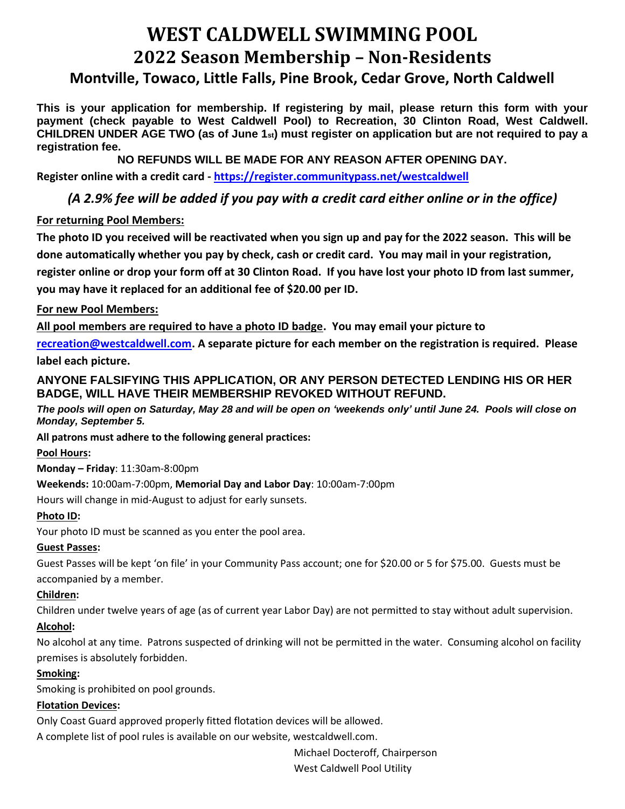# **WEST CALDWELL SWIMMING POOL 2022 Season Membership – Non-Residents Montville, Towaco, Little Falls, Pine Brook, Cedar Grove, North Caldwell**

**This is your application for membership. If registering by mail, please return this form with your payment (check payable to West Caldwell Pool) to Recreation, 30 Clinton Road, West Caldwell. CHILDREN UNDER AGE TWO (as of June 1st) must register on application but are not required to pay a registration fee.** 

**NO REFUNDS WILL BE MADE FOR ANY REASON AFTER OPENING DAY.**

**Register online with a credit card - [https://register.communitypass.net/westcaldwell](https://register.communitypass.net/index.cfm)**

## *(A 2.9% fee will be added if you pay with a credit card either online or in the office)*

## **For returning Pool Members:**

**The photo ID you received will be reactivated when you sign up and pay for the 2022 season. This will be done automatically whether you pay by check, cash or credit card. You may mail in your registration, register online or drop your form off at 30 Clinton Road. If you have lost your photo ID from last summer, you may have it replaced for an additional fee of \$20.00 per ID.** 

## **For new Pool Members:**

**All pool members are required to have a photo ID badge. You may email your picture to** 

**[recreation@westcaldwell.com.](mailto:recreation@westcaldwell.com) A separate picture for each member on the registration is required. Please label each picture.**

## **ANYONE FALSIFYING THIS APPLICATION, OR ANY PERSON DETECTED LENDING HIS OR HER BADGE, WILL HAVE THEIR MEMBERSHIP REVOKED WITHOUT REFUND.**

*The pools will open on Saturday, May 28 and will be open on 'weekends only' until June 24. Pools will close on Monday, September 5.*

#### **All patrons must adhere to the following general practices:**

## **Pool Hours:**

**Monday – Friday**: 11:30am-8:00pm

#### **Weekends:** 10:00am-7:00pm, **Memorial Day and Labor Day**: 10:00am-7:00pm

Hours will change in mid-August to adjust for early sunsets.

#### **Photo ID:**

Your photo ID must be scanned as you enter the pool area.

#### **Guest Passes:**

Guest Passes will be kept 'on file' in your Community Pass account; one for \$20.00 or 5 for \$75.00. Guests must be accompanied by a member.

## **Children:**

Children under twelve years of age (as of current year Labor Day) are not permitted to stay without adult supervision. **Alcohol:** 

No alcohol at any time. Patrons suspected of drinking will not be permitted in the water. Consuming alcohol on facility premises is absolutely forbidden.

## **Smoking:**

Smoking is prohibited on pool grounds.

#### **Flotation Devices:**

Only Coast Guard approved properly fitted flotation devices will be allowed.

A complete list of pool rules is available on our website, westcaldwell.com.

Michael Docteroff, Chairperson

West Caldwell Pool Utility